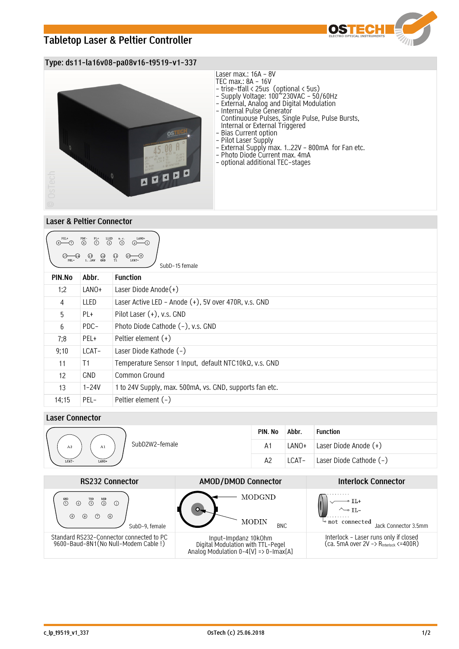# **Tabletop Laser & Peltier Controller**



## **Type: ds11-la16v08-pa08v16-t9519-v1-337**



### **Laser & Peltier Connector**

| LANO+<br>PEL+<br>$\overset{\text{PDC}-}{\odot}$<br>$\overset{\text{LED}}{\textcircled{\textcirc}}$<br>n.c.<br>$\overline{\bigodot}^{\text{PL+}}$<br>$\odot$<br>$\circledcirc$ - $\circledcirc$<br>$\bigoplus_{T1}$<br>$\bigcirc$<br>$\bigcirc$<br>$\bigcirc$<br>$\bigcirc$<br>$\circledcirc$<br>$(13)$<br>124V<br>LCAT-<br>SubD-15 female |            |                                                         |
|-------------------------------------------------------------------------------------------------------------------------------------------------------------------------------------------------------------------------------------------------------------------------------------------------------------------------------------------|------------|---------------------------------------------------------|
| PIN.No                                                                                                                                                                                                                                                                                                                                    | Abbr.      | <b>Function</b>                                         |
| 1:2                                                                                                                                                                                                                                                                                                                                       | LANO+      | Laser Diode Anode $(+)$                                 |
| 4                                                                                                                                                                                                                                                                                                                                         | LLED       | Laser Active LED - Anode (+), 5V over 470R, v.s. GND    |
| 5                                                                                                                                                                                                                                                                                                                                         | PL+        | Pilot Laser (+), v.s. GND                               |
| 6                                                                                                                                                                                                                                                                                                                                         | PDC-       | Photo Diode Cathode (-), v.s. GND                       |
| 7;8                                                                                                                                                                                                                                                                                                                                       | PEL+       | Peltier element $(+)$                                   |
| 9;10                                                                                                                                                                                                                                                                                                                                      | LCAT-      | Laser Diode Kathode (-)                                 |
| 11                                                                                                                                                                                                                                                                                                                                        | T1         | Temperature Sensor 1 Input, default NTC10kQ, v.s. GND   |
| 12                                                                                                                                                                                                                                                                                                                                        | <b>GND</b> | Common Ground                                           |
| 13                                                                                                                                                                                                                                                                                                                                        | $1 - 24V$  | 1 to 24V Supply, max. 500mA, vs. GND, supports fan etc. |
| 14;15                                                                                                                                                                                                                                                                                                                                     | PEL-       | Peltier element (-)                                     |

## **Laser Connector**